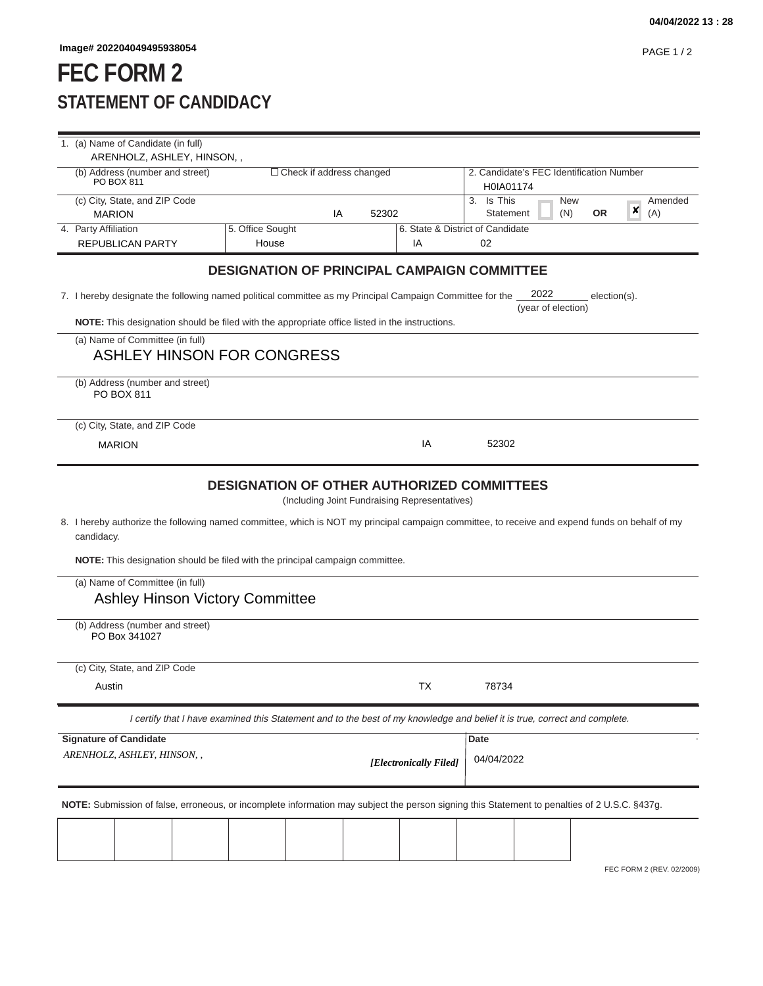## **FEC FORM 2 STATEMENT OF CANDIDACY**

| 1. (a) Name of Candidate (in full)                                                                                                                           |                                                                                                                            |       |                                               |                         |                                          |                |         |
|--------------------------------------------------------------------------------------------------------------------------------------------------------------|----------------------------------------------------------------------------------------------------------------------------|-------|-----------------------------------------------|-------------------------|------------------------------------------|----------------|---------|
| ARENHOLZ, ASHLEY, HINSON,,<br>(b) Address (number and street)<br>PO BOX 811                                                                                  | $\Box$ Check if address changed                                                                                            |       |                                               |                         | 2. Candidate's FEC Identification Number |                |         |
| (c) City, State, and ZIP Code                                                                                                                                |                                                                                                                            |       |                                               | H0IA01174<br>3. Is This | New                                      |                | Amended |
| <b>MARION</b>                                                                                                                                                | ΙA                                                                                                                         | 52302 |                                               | Statement               | (N)                                      | ×<br><b>OR</b> | (A)     |
| 4. Party Affiliation<br><b>REPUBLICAN PARTY</b>                                                                                                              | 5. Office Sought<br>House                                                                                                  |       | 6. State & District of Candidate<br>IA        | 02                      |                                          |                |         |
|                                                                                                                                                              |                                                                                                                            |       |                                               |                         |                                          |                |         |
|                                                                                                                                                              | <b>DESIGNATION OF PRINCIPAL CAMPAIGN COMMITTEE</b>                                                                         |       |                                               |                         |                                          |                |         |
| 7. I hereby designate the following named political committee as my Principal Campaign Committee for the                                                     |                                                                                                                            |       |                                               |                         | 2022<br>(year of election)               | election(s).   |         |
| NOTE: This designation should be filed with the appropriate office listed in the instructions.                                                               |                                                                                                                            |       |                                               |                         |                                          |                |         |
| (a) Name of Committee (in full)<br>ASHLEY HINSON FOR CONGRESS                                                                                                |                                                                                                                            |       |                                               |                         |                                          |                |         |
| (b) Address (number and street)<br>PO BOX 811                                                                                                                |                                                                                                                            |       |                                               |                         |                                          |                |         |
| (c) City, State, and ZIP Code                                                                                                                                |                                                                                                                            |       |                                               |                         |                                          |                |         |
| <b>MARION</b>                                                                                                                                                |                                                                                                                            |       | IA                                            | 52302                   |                                          |                |         |
|                                                                                                                                                              |                                                                                                                            |       |                                               |                         |                                          |                |         |
|                                                                                                                                                              | <b>DESIGNATION OF OTHER AUTHORIZED COMMITTEES</b>                                                                          |       | (Including Joint Fundraising Representatives) |                         |                                          |                |         |
|                                                                                                                                                              |                                                                                                                            |       |                                               |                         |                                          |                |         |
| 8. I hereby authorize the following named committee, which is NOT my principal campaign committee, to receive and expend funds on behalf of my<br>candidacy. |                                                                                                                            |       |                                               |                         |                                          |                |         |
| <b>NOTE:</b> This designation should be filed with the principal campaign committee.                                                                         |                                                                                                                            |       |                                               |                         |                                          |                |         |
| (a) Name of Committee (in full)<br><b>Ashley Hinson Victory Committee</b>                                                                                    |                                                                                                                            |       |                                               |                         |                                          |                |         |
| (b) Address (number and street)                                                                                                                              |                                                                                                                            |       |                                               |                         |                                          |                |         |
| PO Box 341027                                                                                                                                                |                                                                                                                            |       |                                               |                         |                                          |                |         |
| (c) City, State, and ZIP Code                                                                                                                                |                                                                                                                            |       |                                               |                         |                                          |                |         |
| Austin                                                                                                                                                       |                                                                                                                            |       | TX                                            | 78734                   |                                          |                |         |
|                                                                                                                                                              | I certify that I have examined this Statement and to the best of my knowledge and belief it is true, correct and complete. |       |                                               |                         |                                          |                |         |
| <b>Signature of Candidate</b>                                                                                                                                |                                                                                                                            |       |                                               | Date                    |                                          |                |         |
| ARENHOLZ, ASHLEY, HINSON, ,                                                                                                                                  |                                                                                                                            |       | [Electronically Filed]                        | 04/04/2022              |                                          |                |         |
| NOTE: Submission of false, erroneous, or incomplete information may subject the person signing this Statement to penalties of 2 U.S.C. §437g.                |                                                                                                                            |       |                                               |                         |                                          |                |         |
|                                                                                                                                                              |                                                                                                                            |       |                                               |                         |                                          |                |         |
|                                                                                                                                                              |                                                                                                                            |       |                                               |                         |                                          |                |         |

FEC FORM 2 (REV. 02/2009)